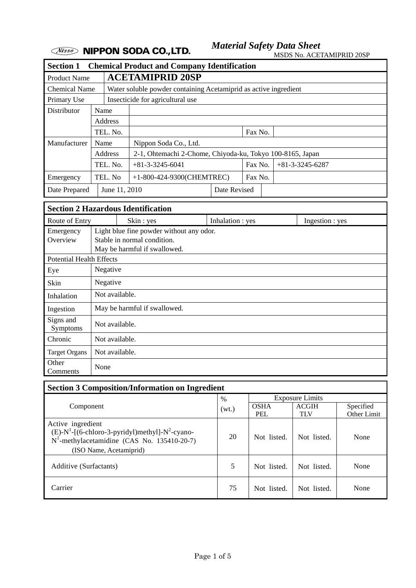### *<i>Material Safety Data Sheet Material Safety Data Sheet*

MSDS No. ACETAMIPRID 20SP

| <b>Chemical Product and Company Identification</b><br><b>Section 1</b> |               |          |                                                                  |              |         |  |                   |
|------------------------------------------------------------------------|---------------|----------|------------------------------------------------------------------|--------------|---------|--|-------------------|
| <b>Product Name</b>                                                    |               |          | <b>ACETAMIPRID 20SP</b>                                          |              |         |  |                   |
| <b>Chemical Name</b>                                                   |               |          | Water soluble powder containing Acetamiprid as active ingredient |              |         |  |                   |
| Primary Use                                                            |               |          | Insecticide for agricultural use                                 |              |         |  |                   |
| <b>Distributor</b>                                                     |               | Name     |                                                                  |              |         |  |                   |
|                                                                        |               | Address  |                                                                  |              |         |  |                   |
|                                                                        |               | TEL. No. |                                                                  |              | Fax No. |  |                   |
| Manufacturer                                                           |               | Name     | Nippon Soda Co., Ltd.                                            |              |         |  |                   |
|                                                                        | Address       |          | 2-1, Ohtemachi 2-Chome, Chiyoda-ku, Tokyo 100-8165, Japan        |              |         |  |                   |
|                                                                        | TEL. No.      |          | $+81-3-3245-6041$                                                |              | Fax No. |  | $+81-3-3245-6287$ |
| Emergency                                                              |               | TEL. No  | +1-800-424-9300(CHEMTREC)                                        |              | Fax No. |  |                   |
| Date Prepared                                                          | June 11, 2010 |          |                                                                  | Date Revised |         |  |                   |

| <b>Section 2 Hazardous Identification</b> |                              |                                          |  |                  |  |                 |  |
|-------------------------------------------|------------------------------|------------------------------------------|--|------------------|--|-----------------|--|
|                                           | Route of Entry<br>Skin : yes |                                          |  | Inhalation : yes |  | Ingestion : yes |  |
| Emergency                                 |                              | Light blue fine powder without any odor. |  |                  |  |                 |  |
| Overview                                  |                              | Stable in normal condition.              |  |                  |  |                 |  |
|                                           |                              | May be harmful if swallowed.             |  |                  |  |                 |  |
| <b>Potential Health Effects</b>           |                              |                                          |  |                  |  |                 |  |
| Eye                                       |                              | Negative                                 |  |                  |  |                 |  |
| Skin                                      |                              | Negative                                 |  |                  |  |                 |  |
| Inhalation                                | Not available.               |                                          |  |                  |  |                 |  |
| Ingestion                                 | May be harmful if swallowed. |                                          |  |                  |  |                 |  |
| Signs and<br><b>Symptoms</b>              | Not available.               |                                          |  |                  |  |                 |  |
| Chronic                                   | Not available.               |                                          |  |                  |  |                 |  |
| <b>Target Organs</b>                      |                              | Not available.                           |  |                  |  |                 |  |
| Other<br>Comments                         | None                         |                                          |  |                  |  |                 |  |

# **Section 3 Composition/Information on Ingredient**

|                                                                                                                                                           | $\%$  | <b>Exposure Limits</b> |              |             |
|-----------------------------------------------------------------------------------------------------------------------------------------------------------|-------|------------------------|--------------|-------------|
| Component                                                                                                                                                 | (wt.) | <b>OSHA</b>            | <b>ACGIH</b> | Specified   |
|                                                                                                                                                           |       | <b>PEL</b>             | TLV          | Other Limit |
| Active ingredient<br>(E)- $N^1$ -[(6-chloro-3-pyridyl)methyl]- $N^2$ -cyano-<br>$N^1$ -methylacetamidine (CAS No. 135410-20-7)<br>(ISO Name, Acetamiprid) | 20    | Not listed.            | Not listed.  | None        |
| Additive (Surfactants)                                                                                                                                    | 5     | Not listed.            | Not listed.  | None        |
| Carrier                                                                                                                                                   | 75    | Not listed.            | Not listed.  | None        |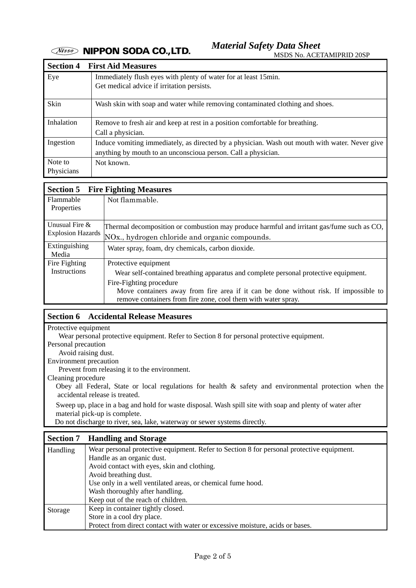| <b>Section 4</b> | <b>First Aid Measures</b>                                                                      |
|------------------|------------------------------------------------------------------------------------------------|
| Eye              | Immediately flush eyes with plenty of water for at least 15min.                                |
|                  | Get medical advice if irritation persists.                                                     |
| Skin             | Wash skin with soap and water while removing contaminated clothing and shoes.                  |
| Inhalation       | Remove to fresh air and keep at rest in a position comfortable for breathing.                  |
|                  | Call a physician.                                                                              |
| Ingestion        | Induce vomiting immediately, as directed by a physician. Wash out mouth with water. Never give |
|                  | anything by mouth to an unconscioua person. Call a physician.                                  |
| Note to          | Not known.                                                                                     |
| Physicians       |                                                                                                |

| <b>Section 5</b>         | <b>Fire Fighting Measures</b>                                                                                                                         |  |  |  |  |
|--------------------------|-------------------------------------------------------------------------------------------------------------------------------------------------------|--|--|--|--|
| Flammable<br>Properties  | Not flammable.                                                                                                                                        |  |  |  |  |
|                          |                                                                                                                                                       |  |  |  |  |
| Unusual Fire &           | Thermal decomposition or combustion may produce harmful and irritant gas/fume such as CO,                                                             |  |  |  |  |
| <b>Explosion Hazards</b> | NO <sub>x</sub> , hydrogen chloride and organic compounds.                                                                                            |  |  |  |  |
| Extinguishing<br>Media   | Water spray, foam, dry chemicals, carbon dioxide.                                                                                                     |  |  |  |  |
| Fire Fighting            | Protective equipment                                                                                                                                  |  |  |  |  |
| <b>Instructions</b>      | Wear self-contained breathing apparatus and complete personal protective equipment.                                                                   |  |  |  |  |
|                          | Fire-Fighting procedure                                                                                                                               |  |  |  |  |
|                          | Move containers away from fire area if it can be done without risk. If impossible to<br>remove containers from fire zone, cool them with water spray. |  |  |  |  |

#### **Section 6 Accidental Release Measures**

Protective equipment

Wear personal protective equipment. Refer to Section 8 for personal protective equipment.

Personal precaution

Avoid raising dust.

Environment precaution

Prevent from releasing it to the environment.

Cleaning procedure

 Obey all Federal, State or local regulations for health & safety and environmental protection when the accidental release is treated.

 Sweep up, place in a bag and hold for waste disposal. Wash spill site with soap and plenty of water after material pick-up is complete.

Do not discharge to river, sea, lake, waterway or sewer systems directly.

|                 | <b>Section 7 Handling and Storage</b>                                                     |  |  |  |  |  |  |
|-----------------|-------------------------------------------------------------------------------------------|--|--|--|--|--|--|
| <b>Handling</b> | Wear personal protective equipment. Refer to Section 8 for personal protective equipment. |  |  |  |  |  |  |
|                 | Handle as an organic dust.                                                                |  |  |  |  |  |  |
|                 | Avoid contact with eyes, skin and clothing.                                               |  |  |  |  |  |  |
|                 | Avoid breathing dust.                                                                     |  |  |  |  |  |  |
|                 | Use only in a well ventilated areas, or chemical fume hood.                               |  |  |  |  |  |  |
|                 | Wash thoroughly after handling.                                                           |  |  |  |  |  |  |
|                 | Keep out of the reach of children.                                                        |  |  |  |  |  |  |
| Storage         | Keep in container tightly closed.                                                         |  |  |  |  |  |  |
|                 | Store in a cool dry place.                                                                |  |  |  |  |  |  |
|                 | Protect from direct contact with water or excessive moisture, acids or bases.             |  |  |  |  |  |  |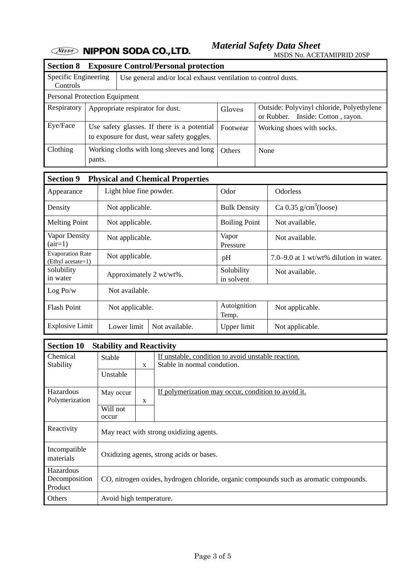Solubility<br>in water Approximately 2 wt/wt%.<br>Solubility<br>in solvent

Flash Point Not applicable. Autoignition

Explosive Limit Lower limit Not available. Upper limit Not applicable.

Solubility

Log Po/w  $\qquad$  Not available.

*<i>Material Safety Data Sheet Material Safety Data Sheet* 

MSDS No. ACETAMIPRID 20SP

| <b>Section 8</b>                                            |                                                                                           | <b>Exposure Control/Personal protection</b>                    |                      |                                                                                   |                                        |  |  |  |  |
|-------------------------------------------------------------|-------------------------------------------------------------------------------------------|----------------------------------------------------------------|----------------------|-----------------------------------------------------------------------------------|----------------------------------------|--|--|--|--|
| Specific Engineering<br>Controls                            |                                                                                           | Use general and/or local exhaust ventilation to control dusts. |                      |                                                                                   |                                        |  |  |  |  |
|                                                             | Personal Protection Equipment                                                             |                                                                |                      |                                                                                   |                                        |  |  |  |  |
| Respiratory                                                 | Appropriate respirator for dust.                                                          | Gloves                                                         |                      | Outside: Polyvinyl chloride, Polyethylene<br>or Rubber.<br>Inside: Cotton, rayon. |                                        |  |  |  |  |
| Eye/Face                                                    | Use safety glasses. If there is a potential<br>to exposure for dust, wear safety goggles. | Footwear                                                       |                      | Working shoes with socks.                                                         |                                        |  |  |  |  |
| Clothing                                                    | Working cloths with long sleeves and long<br>pants.                                       | Others                                                         | None                 |                                                                                   |                                        |  |  |  |  |
| <b>Section 9</b><br><b>Physical and Chemical Properties</b> |                                                                                           |                                                                |                      |                                                                                   |                                        |  |  |  |  |
| Appearance                                                  | Light blue fine powder.                                                                   |                                                                | Odor                 |                                                                                   | Odorless                               |  |  |  |  |
| Density                                                     | Not applicable.                                                                           |                                                                | <b>Bulk Density</b>  |                                                                                   | Ca 0.35 $g/cm^3$ (loose)               |  |  |  |  |
| <b>Melting Point</b>                                        |                                                                                           | Not applicable.                                                | <b>Boiling Point</b> |                                                                                   | Not available.                         |  |  |  |  |
| Vapor Density<br>$(air=1)$                                  |                                                                                           | Not applicable.                                                | Vapor<br>Pressure    |                                                                                   | Not available.                         |  |  |  |  |
| <b>Evaporation Rate</b><br>(Ethyl acetate=1)                |                                                                                           | Not applicable.                                                | pH                   |                                                                                   | 7.0–9.0 at 1 wt/wt% dilution in water. |  |  |  |  |

in solvent

Temp.

Not available.

Not applicable.

| <b>Section 10</b>                            | <b>Stability and Reactivity</b>                                                       |              |                                                     |  |  |  |  |
|----------------------------------------------|---------------------------------------------------------------------------------------|--------------|-----------------------------------------------------|--|--|--|--|
| Chemical                                     | Stable                                                                                |              | If unstable, condition to avoid unstable reaction.  |  |  |  |  |
| Stability                                    |                                                                                       | $\mathbf{x}$ | Stable in normal condution.                         |  |  |  |  |
|                                              | Unstable                                                                              |              |                                                     |  |  |  |  |
| Hazardous                                    | May occur                                                                             |              | If polymerization may occur, condition to avoid it. |  |  |  |  |
| Polymerization                               |                                                                                       | X            |                                                     |  |  |  |  |
|                                              | Will not                                                                              |              |                                                     |  |  |  |  |
|                                              | occur                                                                                 |              |                                                     |  |  |  |  |
| Reactivity                                   | May react with strong oxidizing agents.                                               |              |                                                     |  |  |  |  |
| Incompatible<br>materials                    | Oxidizing agents, strong acids or bases.                                              |              |                                                     |  |  |  |  |
| <b>Hazardous</b><br>Decomposition<br>Product | CO, nitrogen oxides, hydrogen chloride, organic compounds such as aromatic compounds. |              |                                                     |  |  |  |  |
| <b>Others</b>                                | Avoid high temperature.                                                               |              |                                                     |  |  |  |  |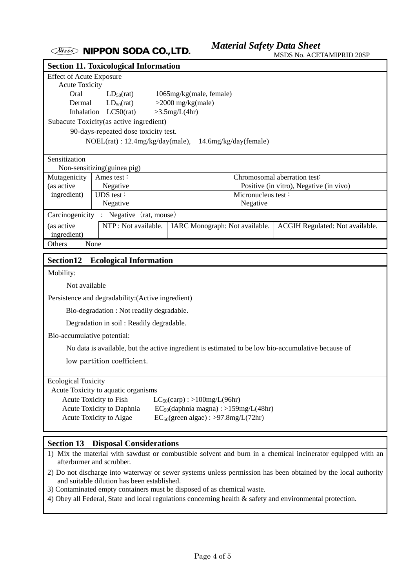|                                                                                                    | <b>Section 11. Toxicological Information</b> |  |                                            |                       | <b>NO. ACLIANIII KID 2001</b>           |  |  |
|----------------------------------------------------------------------------------------------------|----------------------------------------------|--|--------------------------------------------|-----------------------|-----------------------------------------|--|--|
| <b>Effect of Acute Exposure</b>                                                                    |                                              |  |                                            |                       |                                         |  |  |
| <b>Acute Toxicity</b>                                                                              |                                              |  |                                            |                       |                                         |  |  |
| Oral                                                                                               | $LD_{50}(rat)$<br>1065mg/kg(male, female)    |  |                                            |                       |                                         |  |  |
| Dermal                                                                                             | $LD_{50}(rat)$                               |  | $>2000$ mg/kg(male)                        |                       |                                         |  |  |
|                                                                                                    | Inhalation LC50(rat)                         |  | $>3.5$ mg/L(4hr)                           |                       |                                         |  |  |
|                                                                                                    | Subacute Toxicity(as active ingredient)      |  |                                            |                       |                                         |  |  |
|                                                                                                    | 90-days-repeated dose toxicity test.         |  |                                            |                       |                                         |  |  |
|                                                                                                    | NOEL(rat): 12.4mg/kg/day(male),              |  |                                            | 14.6mg/kg/day(female) |                                         |  |  |
| Sensitization                                                                                      |                                              |  |                                            |                       |                                         |  |  |
|                                                                                                    | Non-sensitizing(guinea pig)                  |  |                                            |                       |                                         |  |  |
| Mutagenicity                                                                                       | Ames test:                                   |  |                                            |                       | Chromosomal aberration test:            |  |  |
| (as active                                                                                         | Negative                                     |  |                                            |                       | Positive (in vitro), Negative (in vivo) |  |  |
| ingredient)                                                                                        | UDS test:                                    |  |                                            | Micronucleus test:    |                                         |  |  |
|                                                                                                    | Negative                                     |  |                                            | Negative              |                                         |  |  |
|                                                                                                    | Carcinogenicity : Negative (rat, mouse)      |  |                                            |                       |                                         |  |  |
| (as active                                                                                         | NTP: Not available.                          |  | IARC Monograph: Not available.             |                       | ACGIH Regulated: Not available.         |  |  |
| ingredient)                                                                                        |                                              |  |                                            |                       |                                         |  |  |
| None<br>Others                                                                                     |                                              |  |                                            |                       |                                         |  |  |
| Section12<br><b>Ecological Information</b>                                                         |                                              |  |                                            |                       |                                         |  |  |
| Mobility:                                                                                          |                                              |  |                                            |                       |                                         |  |  |
| Not available                                                                                      |                                              |  |                                            |                       |                                         |  |  |
| Persistence and degradability: (Active ingredient)                                                 |                                              |  |                                            |                       |                                         |  |  |
|                                                                                                    | Bio-degradation : Not readily degradable.    |  |                                            |                       |                                         |  |  |
|                                                                                                    | Degradation in soil : Readily degradable.    |  |                                            |                       |                                         |  |  |
| Bio-accumulative potential:                                                                        |                                              |  |                                            |                       |                                         |  |  |
| No data is available, but the active ingredient is estimated to be low bio-accumulative because of |                                              |  |                                            |                       |                                         |  |  |
| low partition coefficient.                                                                         |                                              |  |                                            |                       |                                         |  |  |
| <b>Ecological Toxicity</b>                                                                         |                                              |  |                                            |                       |                                         |  |  |
| Acute Toxicity to aquatic organisms                                                                |                                              |  |                                            |                       |                                         |  |  |
| Acute Toxicity to Fish<br>$LC_{50}(carp):>100mg/L(96hr)$                                           |                                              |  |                                            |                       |                                         |  |  |
|                                                                                                    | Acute Toxicity to Daphnia                    |  | $EC_{50}$ (daphnia magna) : >159mg/L(48hr) |                       |                                         |  |  |
| Acute Toxicity to Algae<br>$EC_{50}$ (green algae) : >97.8mg/L(72hr)                               |                                              |  |                                            |                       |                                         |  |  |

#### **Section 13 Disposal Considerations**

- 1) Mix the material with sawdust or combustible solvent and burn in a chemical incinerator equipped with an afterburner and scrubber.
- 2) Do not discharge into waterway or sewer systems unless permission has been obtained by the local authority and suitable dilution has been established.
- 3) Contaminated empty containers must be disposed of as chemical waste.
- 4) Obey all Federal, State and local regulations concerning health & safety and environmental protection.